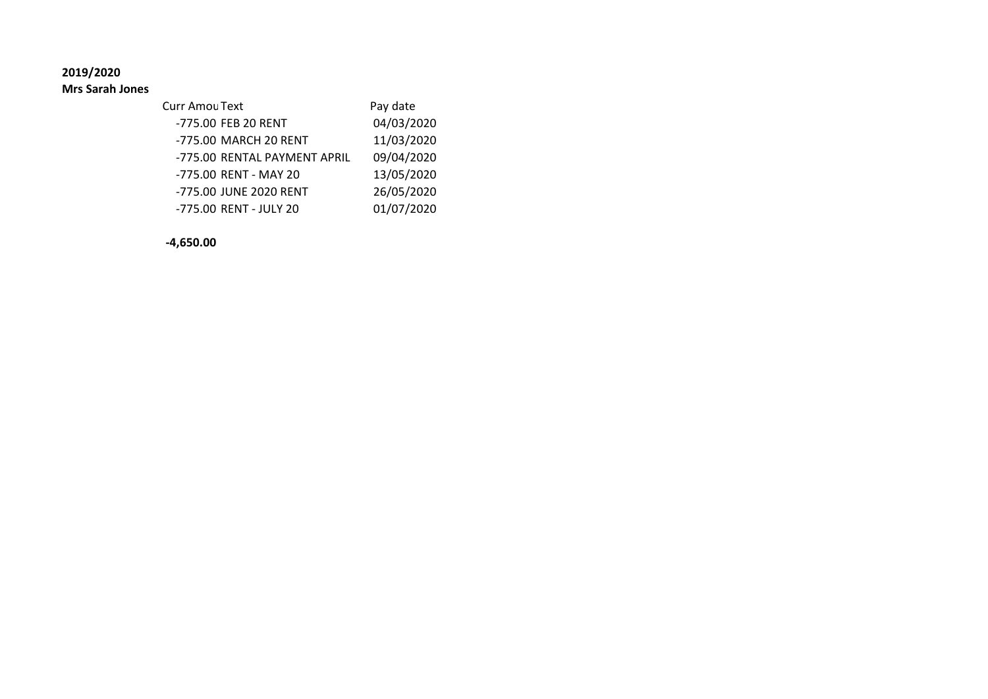**2019/2020**

**Mrs Sarah Jones**

| Curr Amou Text               | Pay date   |
|------------------------------|------------|
| -775.00 FEB 20 RENT          | 04/03/2020 |
| -775.00 MARCH 20 RENT        | 11/03/2020 |
| -775.00 RENTAL PAYMENT APRIL | 09/04/2020 |
| -775.00 RENT - MAY 20        | 13/05/2020 |
| -775.00 JUNE 2020 RENT       | 26/05/2020 |
| -775.00 RENT - JULY 20       | 01/07/2020 |

**-4,650.00**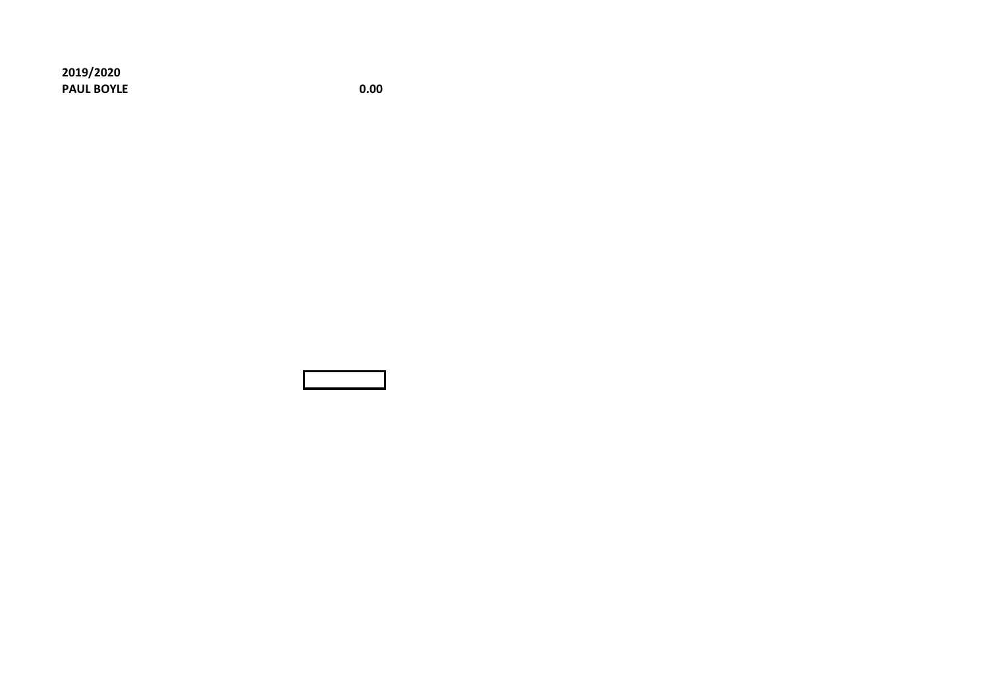**2019/2020 PAUL BOYLE** 0.00

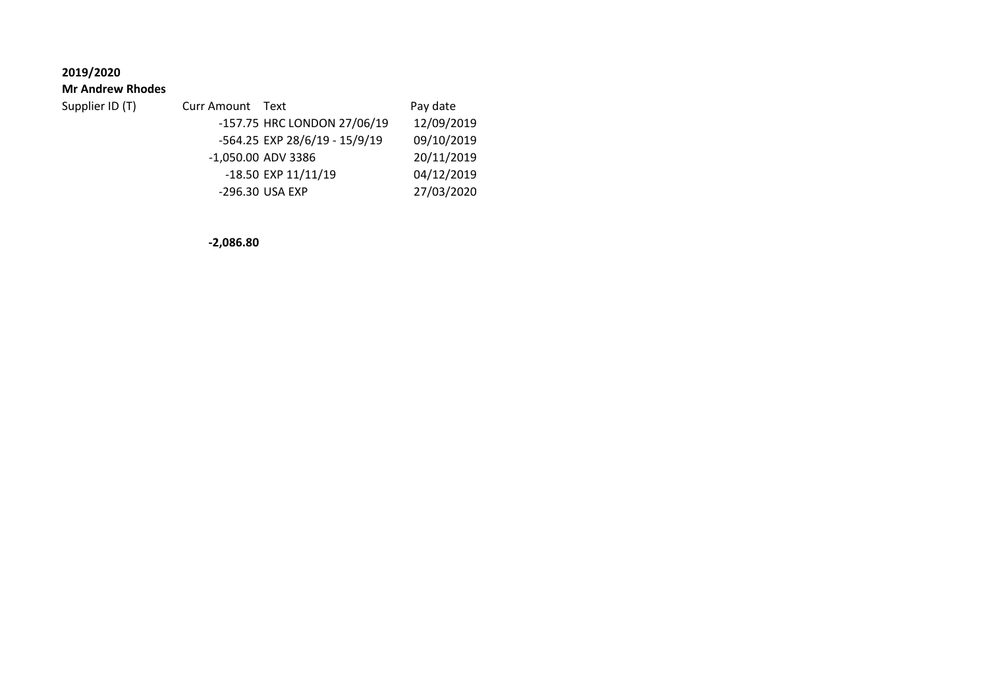# **2019/2020**

#### **Mr Andrew Rhodes**

| Supplier ID (T) | Curr Amount Text |                               | Pay date   |
|-----------------|------------------|-------------------------------|------------|
|                 |                  | -157.75 HRC LONDON 27/06/19   | 12/09/2019 |
|                 |                  | -564.25 EXP 28/6/19 - 15/9/19 | 09/10/2019 |
|                 |                  | -1,050.00 ADV 3386            | 20/11/2019 |
|                 |                  | -18.50 EXP 11/11/19           | 04/12/2019 |
|                 |                  | -296.30 USA EXP               | 27/03/2020 |

**-2,086.80**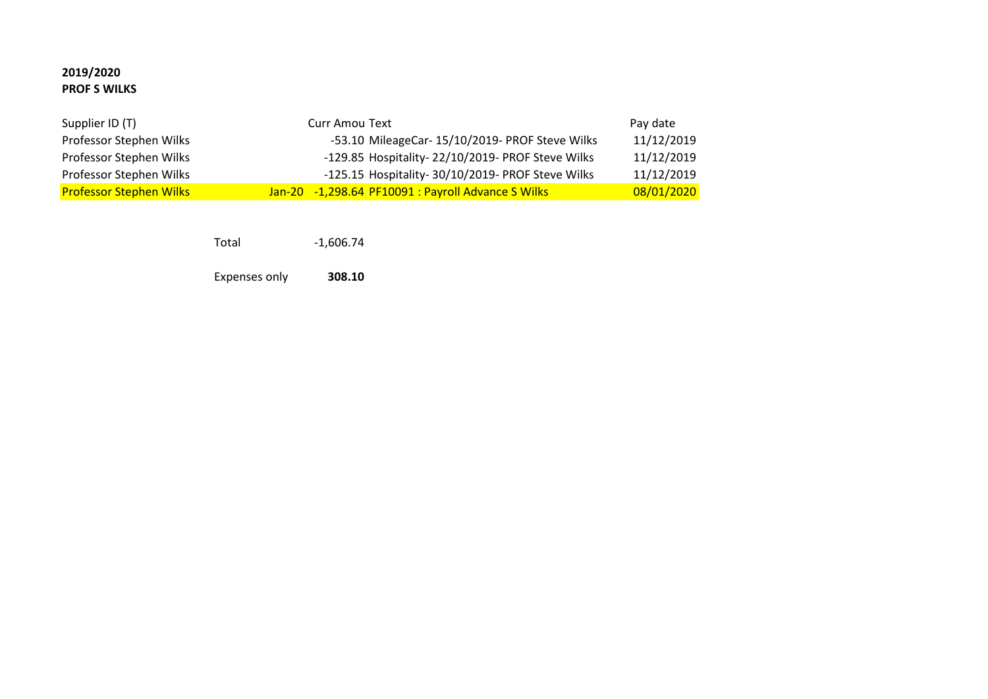### **2019/2020 PROF S WILKS**

| Supplier ID (T)                | Curr Amou Text                                     | Pay date   |
|--------------------------------|----------------------------------------------------|------------|
| Professor Stephen Wilks        | -53.10 MileageCar- 15/10/2019- PROF Steve Wilks    | 11/12/2019 |
| Professor Stephen Wilks        | -129.85 Hospitality-22/10/2019- PROF Steve Wilks   | 11/12/2019 |
| Professor Stephen Wilks        | -125.15 Hospitality- 30/10/2019- PROF Steve Wilks  | 11/12/2019 |
| <b>Professor Stephen Wilks</b> | Jan-20 -1,298.64 PF10091 : Payroll Advance S Wilks | 08/01/2020 |

Total -1,606.74

Expenses only **308.10**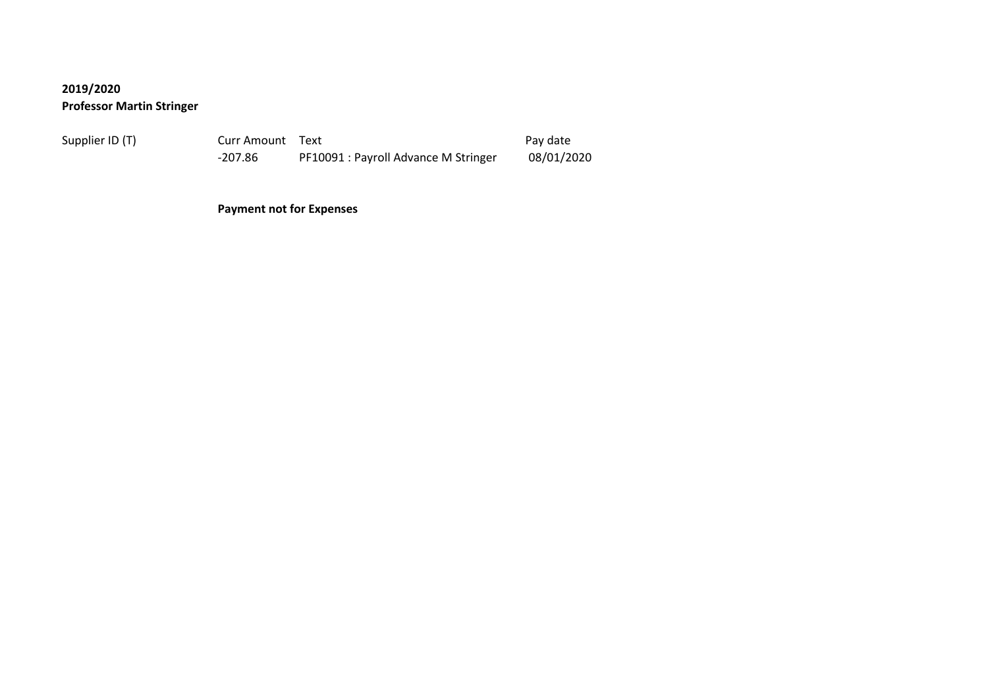# **2019/2020 Professor Martin Stringer**

Supplier ID (T) Curr Amount Text Pay date -207.86 PF10091 : Payroll Advance M Stringer 08/01/2020

**Payment not for Expenses**